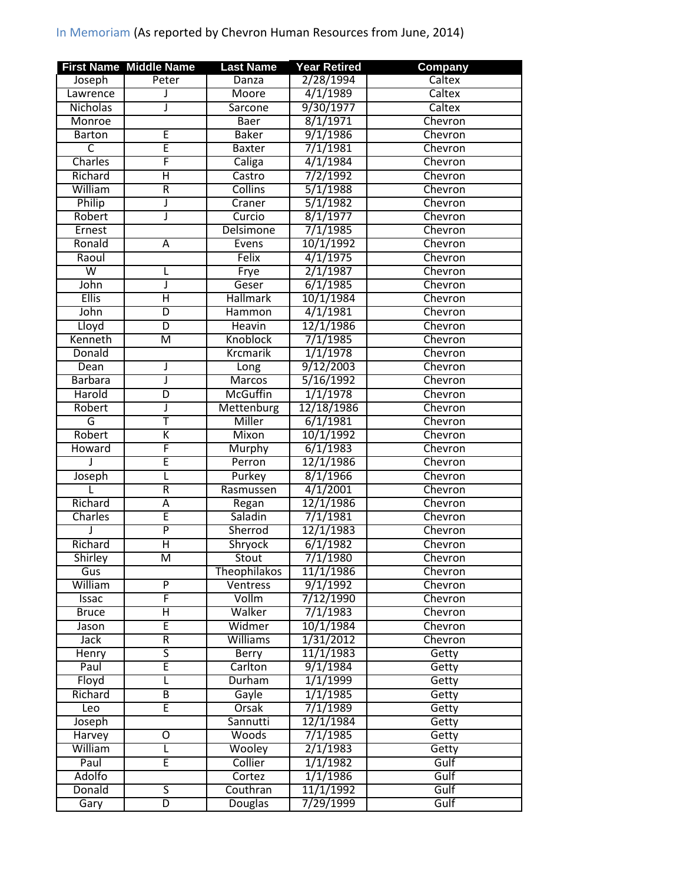## In Memoriam (As reported by Chevron Human Resources from June, 2014)

|                         | <b>First Name Middle Name</b> | <b>Last Name</b>    | <b>Year Retired</b> | Company |
|-------------------------|-------------------------------|---------------------|---------------------|---------|
| Joseph                  | Peter                         | Danza               | 2/28/1994           | Caltex  |
| Lawrence                | J                             | <b>Moore</b>        | 4/1/1989            | Caltex  |
| Nicholas                | J                             | Sarcone             | 9/30/1977           | Caltex  |
| Monroe                  |                               | Baer                | 8/1/1971            | Chevron |
| <b>Barton</b>           | E                             | <b>Baker</b>        | 9/1/1986            | Chevron |
| C                       | E                             | <b>Baxter</b>       | 7/1/1981            | Chevron |
| Charles                 | F                             | Caliga              | 4/1/1984            | Chevron |
| Richard                 | Η                             | Castro              | 7/2/1992            | Chevron |
| William                 | R                             | Collins             | 5/1/1988            | Chevron |
| Philip                  | J                             | Craner              | 5/1/1982            | Chevron |
| Robert                  | J                             | Curcio              | 8/1/1977            | Chevron |
| Ernest                  |                               | Delsimone           | 7/1/1985            | Chevron |
| Ronald                  | $\overline{A}$                | Evens               | 10/1/1992           | Chevron |
| Raoul                   |                               | Felix               | 4/1/1975            | Chevron |
| $\overline{\mathsf{w}}$ |                               | Frye                | 2/1/1987            | Chevron |
| John                    | J                             | Geser               | 6/1/1985            | Chevron |
| <b>Ellis</b>            | Ή                             | <b>Hallmark</b>     | 10/1/1984           | Chevron |
| John                    | $\overline{D}$                | Hammon              | 4/1/1981            | Chevron |
| Lloyd                   | $\overline{D}$                | Heavin              | 12/1/1986           | Chevron |
| Kenneth                 | $\overline{\mathsf{M}}$       | <b>Knoblock</b>     | 7/1/1985            | Chevron |
| Donald                  |                               | <b>Krcmarik</b>     | 1/1/1978            | Chevron |
| Dean                    | J                             | Long                | 9/12/2003           | Chevron |
| <b>Barbara</b>          | J                             | <b>Marcos</b>       | 5/16/1992           | Chevron |
| Harold                  | $\overline{\mathsf{D}}$       | <b>McGuffin</b>     | 1/1/1978            | Chevron |
| Robert                  | J                             | Mettenburg          | 12/18/1986          | Chevron |
| G                       | Т                             | Miller              | 6/1/1981            | Chevron |
| Robert                  | K                             | Mixon               | 10/1/1992           | Chevron |
| <b>Howard</b>           | F                             | Murphy              | 6/1/1983            | Chevron |
|                         | Ē                             | Perron              | 12/1/1986           | Chevron |
| Joseph                  | L                             | Purkey              | 8/1/1966            | Chevron |
| L                       | R                             | Rasmussen           | 4/1/2001            | Chevron |
| Richard                 | Α                             | Regan               | 12/1/1986           | Chevron |
| Charles                 | Ē                             | Saladin             | 7/1/1981            | Chevron |
|                         | $\overline{\mathsf{P}}$       | Sherrod             | 12/1/1983           | Chevron |
| Richard                 | Η                             | Shryock             | 6/1/1982            | Chevron |
| Shirley                 | $\overline{\mathsf{M}}$       | <b>Stout</b>        | 7/1/1980            | Chevron |
| Gus                     |                               | <b>Theophilakos</b> | 11/1/1986           | Chevron |
| William                 | $\overline{P}$                | Ventress            | 9/1/1992            | Chevron |
| Issac                   | F                             | Vollm               | 7/12/1990           | Chevron |
| <b>Bruce</b>            | Ή                             | Walker              | 7/1/1983            | Chevron |
| Jason                   | E                             | Widmer              | 10/1/1984           | Chevron |
| <b>Jack</b>             | R                             | Williams            | 1/31/2012           | Chevron |
| Henry                   | $\overline{\mathsf{s}}$       | Berry               | 11/1/1983           | Getty   |
| Paul                    | Ē                             | Carlton             | 9/1/1984            | Getty   |
| Floyd                   |                               | Durham              | 1/1/1999            | Getty   |
| Richard                 | $\overline{B}$                | Gayle               | 1/1/1985            | Getty   |
| Leo                     | E                             | Orsak               | 7/1/1989            | Getty   |
| Joseph                  |                               | Sannutti            | 12/1/1984           | Getty   |
| Harvey                  | $\overline{0}$                | Woods               | 7/1/1985            | Getty   |
| William                 | L                             | Wooley              | 2/1/1983            | Getty   |
| Paul                    | E                             | Collier             | 1/1/1982            | Gulf    |
| Adolfo                  |                               | Cortez              | 1/1/1986            | Gulf    |
| Donald                  | 5                             | Couthran            | 11/1/1992           | Gulf    |
| Gary                    | D                             | <b>Douglas</b>      | 7/29/1999           | Gulf    |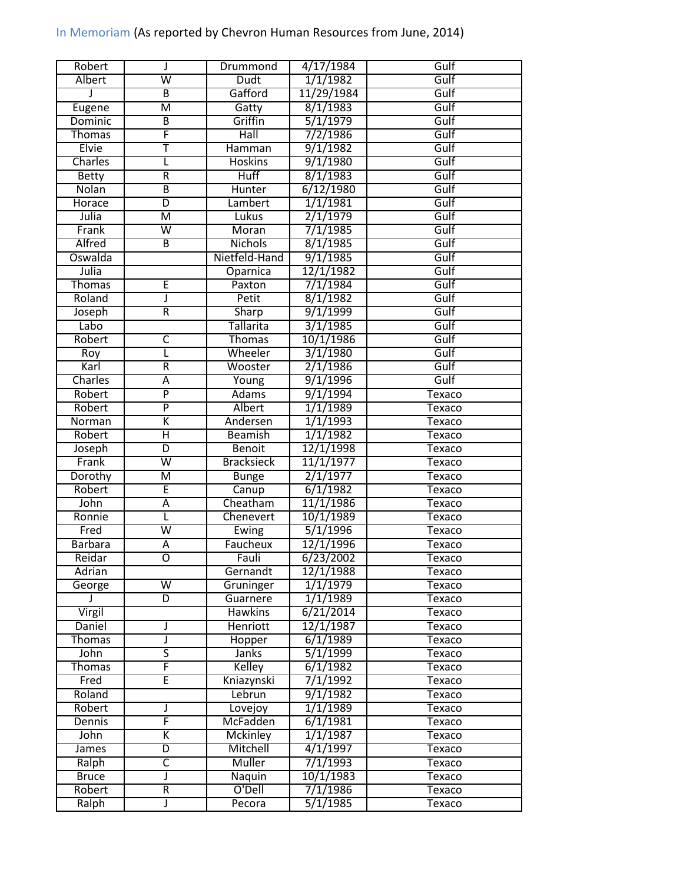## In Memoriam (As reported by Chevron Human Resources from June, 2014)

| Robert          | J                       | Drummond              | 4/17/1984            | Gulf             |
|-----------------|-------------------------|-----------------------|----------------------|------------------|
| Albert          | W                       | <b>Dudt</b>           | 1/1/1982             | Gulf             |
|                 | B                       | Gafford               | 11/29/1984           | Gulf             |
| Eugene          | M                       | Gatty                 | 8/1/1983             | Gulf             |
| Dominic         | $\overline{B}$          | Griffin               | 5/1/1979             | Gulf             |
| <b>Thomas</b>   | F                       | Hall                  | 7/2/1986             | Gulf             |
| Elvie           | т                       | Hamman                | 9/1/1982             | Gulf             |
| Charles         | L                       | <b>Hoskins</b>        | 9/1/1980             | Gulf             |
| <b>Betty</b>    | $\overline{\mathsf{R}}$ | <b>Huff</b>           | 8/1/1983             | Gulf             |
| Nolan           | B                       | Hunter                | 6/12/1980            | Gulf             |
| Horace          | D                       | Lambert               | 1/1/1981             | Gulf             |
| Julia           | $\overline{\mathsf{M}}$ | Lukus                 | 2/1/1979             | Gulf             |
| Frank           | $\overline{\mathsf{w}}$ | Moran                 | 7/1/1985             | Gulf             |
| Alfred          | $\overline{B}$          | <b>Nichols</b>        | 8/1/1985             | Gulf             |
| Oswalda         |                         | Nietfeld-Hand         | 9/1/1985             | Gulf             |
| Julia           |                         | Oparnica              | 12/1/1982            | Gulf             |
| <b>Thomas</b>   | E                       | Paxton                | 7/1/1984             | Gulf             |
| Roland          | J                       | Petit                 | 8/1/1982             | Gulf             |
| Joseph          | $\overline{R}$          | Sharp                 | 9/1/1999             | Gulf             |
| Labo            |                         | Tallarita             | 3/1/1985             | Gulf             |
| Robert          | $\overline{\mathsf{c}}$ | <b>Thomas</b>         | 10/1/1986            | Gulf             |
| Roy             | L                       | Wheeler               | 3/1/1980             | Gulf             |
| Karl            | $\overline{R}$          | Wooster               | 2/1/1986             | Gulf             |
| Charles         | Ā                       |                       | 9/1/1996             | Gulf             |
| Robert          | $\overline{P}$          | Young<br><b>Adams</b> |                      |                  |
| Robert          | $\overline{\mathsf{P}}$ | Albert                | 9/1/1994<br>1/1/1989 | Texaco           |
|                 |                         |                       |                      | Texaco           |
| Norman          | Κ                       | Andersen              | 1/1/1993             | Texaco           |
| Robert          | $\overline{\mathsf{H}}$ | <b>Beamish</b>        | 1/1/1982             | Texaco           |
| Joseph          | D                       | <b>Benoit</b>         | 12/1/1998            | Texaco           |
| Frank           | $\overline{\mathsf{W}}$ | <b>Bracksieck</b>     | 11/1/1977            | Texaco           |
| Dorothy         | $\overline{\mathsf{M}}$ | <b>Bunge</b>          | 2/1/1977             | Texaco           |
| Robert          | Έ                       | Canup                 | 6/1/1982             | Texaco           |
| John            | Ā                       | Cheatham              | 11/1/1986            | Texaco           |
| Ronnie          | L                       | Chenevert             | 10/1/1989            | Texaco           |
| Fred            | $\overline{\mathsf{w}}$ | Ewing                 | 5/1/1996             | Texaco           |
| Barbara         | Ā                       | Faucheux              | 12/1/1996            | Texaco           |
| Reidar          | $\overline{0}$          | Fauli                 | 6/23/2002            | Texaco           |
| Adrian          |                         | Gernandt              | 12/1/1988            | Texaco           |
| George          | $\overline{\mathsf{W}}$ | Gruninger             | 1/1/1979             | Texaco           |
|                 | D                       | Guarnere              | 1/1/1989             | Texaco           |
| Virgil          |                         | <b>Hawkins</b>        | 6/21/2014            | Texaco           |
| Daniel          | J                       | Henriott              | 12/1/1987            | Texaco           |
| <b>Thomas</b>   | J                       | Hopper                | 6/1/1989             | Texaco           |
| John            | $\overline{\mathsf{s}}$ | Janks                 | 5/1/1999             | Texaco           |
| <b>Thomas</b>   | F                       | Kelley                | 6/1/1982             | Texaco           |
| Fred            | E                       | Kniazynski            | 7/1/1992             | Texaco           |
| Roland          |                         | Lebrun                | 9/1/1982             | Texaco           |
| Robert          | J                       | Lovejoy               | 1/1/1989             | Texaco           |
| Dennis          | F                       | McFadden              | 6/1/1981             | Texaco           |
| John            | K                       | Mckinley              | 1/1/1987             | Texaco           |
| James           | D                       | Mitchell              | 4/1/1997             | Texaco           |
|                 |                         | <b>Muller</b>         | 7/1/1993             | Texaco           |
| Ralph           | C                       |                       |                      |                  |
| <b>Bruce</b>    | J                       | Naquin                | 10/1/1983            | <b>Texaco</b>    |
| Robert<br>Ralph | R                       | O'Dell<br>Pecora      | 7/1/1986<br>5/1/1985 | Texaco<br>Texaco |